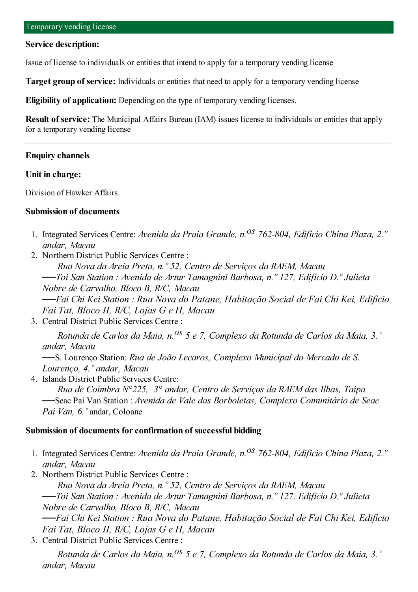#### **Service description:**

Issue of license to individuals or entities that intend to apply for a temporary vending license

**Target group of service:** Individuals or entities that need to apply for a temporary vending license

**Eligibility of application:** Depending on the type of temporary vending licenses.

**Result of service:** The Municipal Affairs Bureau (IAM) issues license to individuals or entities that apply for a temporary vending license

### **Enquiry channels**

#### **Unit in charge:**

Division of Hawker Affairs

#### **Submission of documents**

- 1. Integrated Services Centre: *Avenida da Praia Grande, n.os 762-804, Edifício China Plaza, 2.º andar, Macau*
- 2. Northern District Public Services Centre :

*Rua Nova da Areia Preta, n.º 52, Centro de Serviços da RAEM, Macau ──Toi San Station : Avenida de Artur Tamagnini Barbosa, n.º 127, Edifício D.ª Julieta Nobre de Carvalho, Bloco B, R/C, Macau ──Fai Chi Kei Station : Rua Nova do Patane, Habitação Social de Fai Chi Kei, Edifício Fai Tat, Bloco II, R/C, Lojas G e H, Macau*

3. Central District Public Services Centre :

*Rotunda de Carlos da Maia, n.os 5 e 7, Complexo da Rotunda de Carlos da Maia, 3.˚ andar, Macau*

──S. Lourenço Station: *Rua de João Lecaros, Complexo Municipal do Mercado de S. Lourenço, 4.˚ andar, Macau*

4. Islands District Public Services Centre:

*Rua de Coimbra N°225, 3° andar, Centro de Serviços da RAEM das Ilhas, Taipa* ──Seac Pai Van Station : *Avenida de Vale das Borboletas, Complexo Comunitário de Seac Pai Van, 6.˚*andar, Coloane

### **Submission of documents forconfirmation of successful bidding**

- 1. Integrated Services Centre: *Avenida da Praia Grande, n.os 762-804, Edifício China Plaza, 2.º andar, Macau*
- 2. Northern District Public Services Centre :

*Rua Nova da Areia Preta, n.º 52, Centro de Serviços da RAEM, Macau ──Toi San Station : Avenida de Artur Tamagnini Barbosa, n.º 127, Edifício D.ª Julieta Nobre de Carvalho, Bloco B, R/C, Macau ──Fai Chi Kei Station : Rua Nova do Patane, Habitação Social de Fai Chi Kei, Edifício*

*Fai Tat, Bloco II, R/C, Lojas G e H, Macau*

3. Central District Public Services Centre :

*Rotunda de Carlos da Maia, n.os 5 e 7, Complexo da Rotunda de Carlos da Maia, 3.˚ andar, Macau*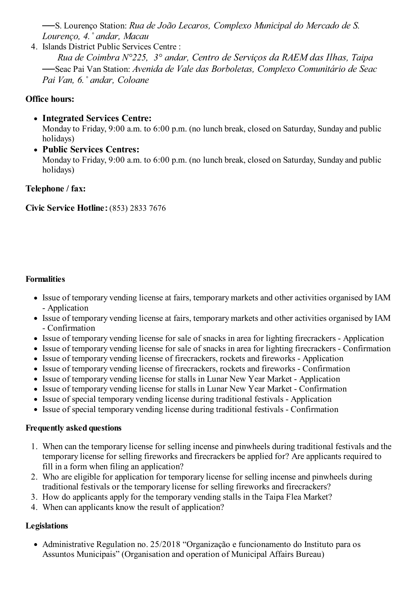──S. Lourenço Station: *Rua de João Lecaros, Complexo Municipal do Mercado de S. Lourenço, 4.˚ andar, Macau*

4. Islands District Public Services Centre :

*Rua de Coimbra N°225, 3° andar, Centro de Serviços da RAEM das Ilhas, Taipa* ──Seac Pai Van Station: *Avenida de Vale das Borboletas, Complexo Comunitário de Seac Pai Van, 6.˚ andar, Coloane*

# **Office hours:**

- **Integrated Services Centre:** Monday to Friday, 9:00 a.m. to 6:00 p.m. (no lunch break, closed on Saturday, Sunday and public holidays)
- **Public Services Centres:** Monday to Friday, 9:00 a.m. to 6:00 p.m. (no lunch break, closed on Saturday, Sunday and public holidays)

# **Telephone / fax:**

**Civic Service Hotline**:(853) 2833 7676

# **Formalities**

- Issue of temporary vending license at fairs, temporary markets and other activities organised by IAM - Application
- Issue of temporary vending license at fairs, temporary markets and other activities organised by IAM - Confirmation
- Issue of temporary vending license for sale of snacks in area for lighting firecrackers Application
- Issue of temporary vending license for sale of snacks in area for lighting firecrackers Confirmation
- Issue of temporary vending license of firecrackers, rockets and fireworks Application
- Issue of temporary vending license of firecrackers, rockets and fireworks Confirmation
- Issue of temporary vending license for stalls in Lunar New Year Market Application
- Issue of temporary vending license for stalls in Lunar New Year Market Confirmation
- Issue of special temporary vending license during traditional festivals Application
- Issue of special temporary vending license during traditional festivals Confirmation

## **Frequently asked questions**

- 1. When can the temporary license for selling incense and pinwheels during traditional festivals and the temporary license for selling fireworks and firecrackers be applied for? Are applicants required to fill in a form when filing an application?
- 2. Who are eligible for application for temporary license for selling incense and pinwheels during traditional festivals or the temporary license for selling fireworks and firecrackers?
- 3. How do applicants apply for the temporary vending stalls in the Taipa Flea Market?
- 4. When can applicants know the result of application?

## **Legislations**

Administrative Regulation no. 25/2018 "Organização e funcionamento do Instituto para os Assuntos Municipais" (Organisation and operation of Municipal Affairs Bureau)